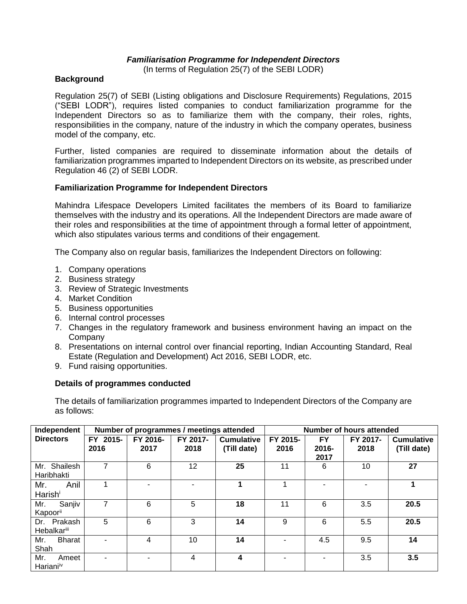## *Familiarisation Programme for Independent Directors*

(In terms of Regulation 25(7) of the SEBI LODR)

## **Background**

Regulation 25(7) of SEBI (Listing obligations and Disclosure Requirements) Regulations, 2015 ("SEBI LODR"), requires listed companies to conduct familiarization programme for the Independent Directors so as to familiarize them with the company, their roles, rights, responsibilities in the company, nature of the industry in which the company operates, business model of the company, etc.

Further, listed companies are required to disseminate information about the details of familiarization programmes imparted to Independent Directors on its website, as prescribed under Regulation 46 (2) of SEBI LODR.

## **Familiarization Programme for Independent Directors**

Mahindra Lifespace Developers Limited facilitates the members of its Board to familiarize themselves with the industry and its operations. All the Independent Directors are made aware of their roles and responsibilities at the time of appointment through a formal letter of appointment, which also stipulates various terms and conditions of their engagement.

The Company also on regular basis, familiarizes the Independent Directors on following:

- 1. Company operations
- 2. Business strategy
- 3. Review of Strategic Investments
- 4. Market Condition
- 5. Business opportunities
- 6. Internal control processes
- 7. Changes in the regulatory framework and business environment having an impact on the Company
- 8. Presentations on internal control over financial reporting, Indian Accounting Standard, Real Estate (Regulation and Development) Act 2016, SEBI LODR, etc.
- 9. Fund raising opportunities.

## **Details of programmes conducted**

The details of familiarization programmes imparted to Independent Directors of the Company are as follows:

| Independent                           | Number of programmes / meetings attended |                  |                  |                                  | Number of hours attended |                            |                  |                                  |
|---------------------------------------|------------------------------------------|------------------|------------------|----------------------------------|--------------------------|----------------------------|------------------|----------------------------------|
| <b>Directors</b>                      | FY 2015-<br>2016                         | FY 2016-<br>2017 | FY 2017-<br>2018 | <b>Cumulative</b><br>(Till date) | FY 2015-<br>2016         | <b>FY</b><br>2016-<br>2017 | FY 2017-<br>2018 | <b>Cumulative</b><br>(Till date) |
| Mr. Shailesh<br>Haribhakti            |                                          | 6                | 12               | 25                               | 11                       | 6                          | 10               | 27                               |
| Anil<br>Mr.<br>Harishi                |                                          |                  |                  |                                  |                          |                            |                  |                                  |
| Sanjiv<br>Mr.<br>Kapoorii             |                                          | 6                | 5                | 18                               | 11                       | 6                          | 3.5              | 20.5                             |
| Dr. Prakash<br><b>Hebalkariii</b>     | 5                                        | 6                | 3                | 14                               | 9                        | 6                          | 5.5              | 20.5                             |
| <b>Bharat</b><br>Mr.<br>Shah          |                                          | 4                | 10               | 14                               |                          | 4.5                        | 9.5              | 14                               |
| Mr.<br>Ameet<br>Hariani <sup>iv</sup> |                                          |                  | 4                | 4                                |                          |                            | 3.5              | 3.5                              |